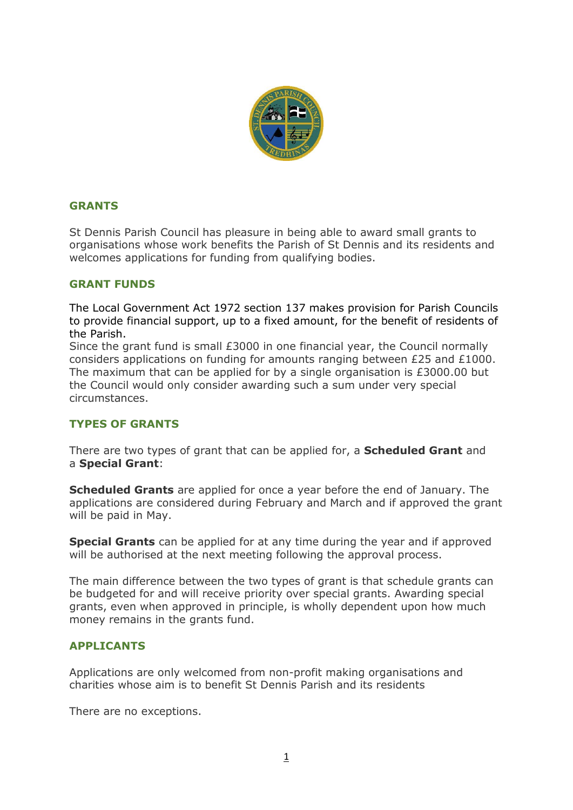

## **GRANTS**

St Dennis Parish Council has pleasure in being able to award small grants to organisations whose work benefits the Parish of St Dennis and its residents and welcomes applications for funding from qualifying bodies.

## **GRANT FUNDS**

The Local Government Act 1972 section 137 makes provision for Parish Councils to provide financial support, up to a fixed amount, for the benefit of residents of the Parish.

Since the grant fund is small £3000 in one financial year, the Council normally considers applications on funding for amounts ranging between £25 and £1000. The maximum that can be applied for by a single organisation is £3000.00 but the Council would only consider awarding such a sum under very special circumstances.

## **TYPES OF GRANTS**

There are two types of grant that can be applied for, a **Scheduled Grant** and a **Special Grant**:

**Scheduled Grants** are applied for once a year before the end of January. The applications are considered during February and March and if approved the grant will be paid in May.

**Special Grants** can be applied for at any time during the year and if approved will be authorised at the next meeting following the approval process.

The main difference between the two types of grant is that schedule grants can be budgeted for and will receive priority over special grants. Awarding special grants, even when approved in principle, is wholly dependent upon how much money remains in the grants fund.

## **APPLICANTS**

Applications are only welcomed from non-profit making organisations and charities whose aim is to benefit St Dennis Parish and its residents

There are no exceptions.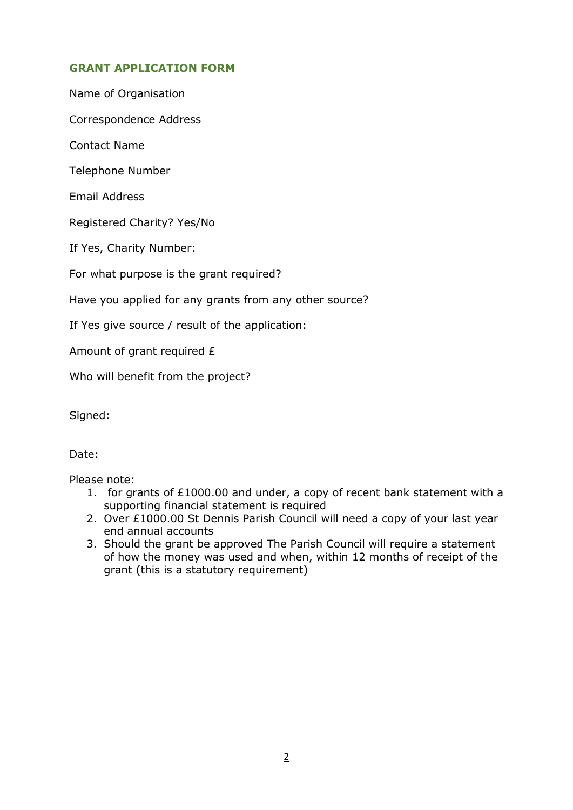# **GRANT APPLICATION FORM**

Name of Organisation

Correspondence Address

Contact Name

Telephone Number

Email Address

Registered Charity? Yes/No

If Yes, Charity Number:

For what purpose is the grant required?

Have you applied for any grants from any other source?

If Yes give source / result of the application:

Amount of grant required £

Who will benefit from the project?

Signed:

Date:

Please note:

- 1. for grants of £1000.00 and under, a copy of recent bank statement with a supporting financial statement is required
- 2. Over £1000.00 St Dennis Parish Council will need a copy of your last year end annual accounts
- 3. Should the grant be approved The Parish Council will require a statement of how the money was used and when, within 12 months of receipt of the grant (this is a statutory requirement)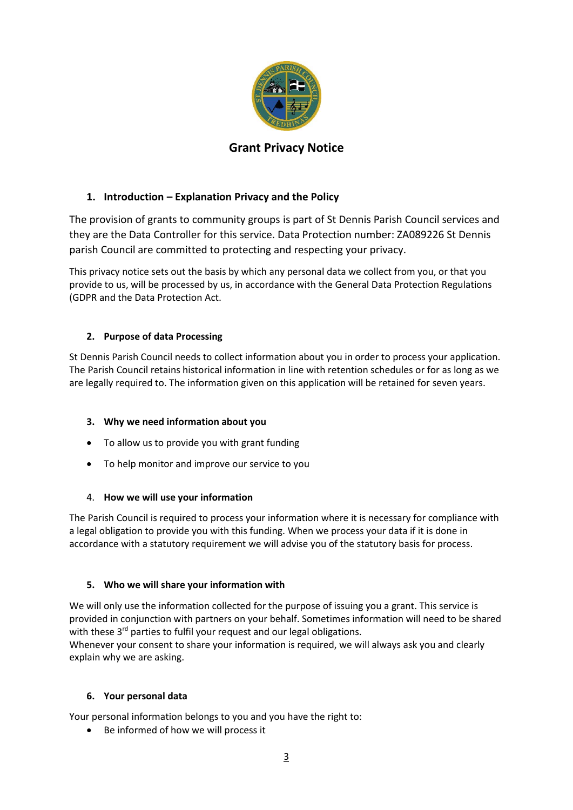

# **Grant Privacy Notice**

# **1. Introduction – Explanation Privacy and the Policy**

The provision of grants to community groups is part of St Dennis Parish Council services and they are the Data Controller for this service. Data Protection number: ZA089226 St Dennis parish Council are committed to protecting and respecting your privacy.

This privacy notice sets out the basis by which any personal data we collect from you, or that you provide to us, will be processed by us, in accordance with the General Data Protection Regulations (GDPR and the Data Protection Act.

## **2. Purpose of data Processing**

St Dennis Parish Council needs to collect information about you in order to process your application. The Parish Council retains historical information in line with retention schedules or for as long as we are legally required to. The information given on this application will be retained for seven years.

## **3. Why we need information about you**

- To allow us to provide you with grant funding
- To help monitor and improve our service to you

## 4. **How we will use your information**

The Parish Council is required to process your information where it is necessary for compliance with a legal obligation to provide you with this funding. When we process your data if it is done in accordance with a statutory requirement we will advise you of the statutory basis for process.

## **5. Who we will share your information with**

We will only use the information collected for the purpose of issuing you a grant. This service is provided in conjunction with partners on your behalf. Sometimes information will need to be shared with these 3<sup>rd</sup> parties to fulfil your request and our legal obligations.

Whenever your consent to share your information is required, we will always ask you and clearly explain why we are asking.

## **6. Your personal data**

Your personal information belongs to you and you have the right to:

• Be informed of how we will process it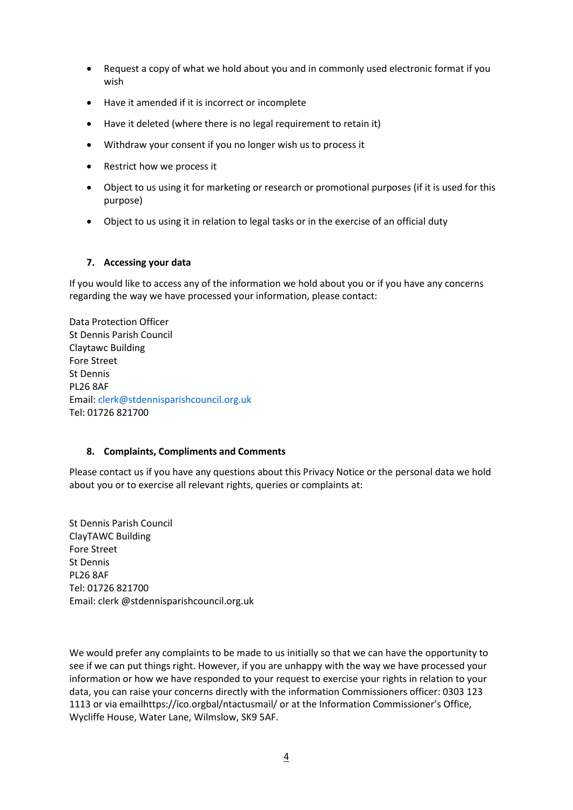- Request a copy of what we hold about you and in commonly used electronic format if you wish
- Have it amended if it is incorrect or incomplete
- Have it deleted (where there is no legal requirement to retain it)
- Withdraw your consent if you no longer wish us to process it
- Restrict how we process it
- Object to us using it for marketing or research or promotional purposes (if it is used for this purpose)
- Object to us using it in relation to legal tasks or in the exercise of an official duty

## **7. Accessing your data**

If you would like to access any of the information we hold about you or if you have any concerns regarding the way we have processed your information, please contact:

Data Protection Officer St Dennis Parish Council Claytawc Building Fore Street St Dennis PL26 8AF Email: [clerk@stdennisparishcouncil.org.uk](mailto:clerk@stdennisparishcouncil.org.uk) Tel: 01726 821700

## **8. Complaints, Compliments and Comments**

Please contact us if you have any questions about this Privacy Notice or the personal data we hold about you or to exercise all relevant rights, queries or complaints at:

St Dennis Parish Council ClayTAWC Building Fore Street St Dennis PL26 8AF Tel: 01726 821700 Email: clerk @stdennisparishcouncil.org.uk

We would prefer any complaints to be made to us initially so that we can have the opportunity to see if we can put things right. However, if you are unhappy with the way we have processed your information or how we have responded to your request to exercise your rights in relation to your data, you can raise your concerns directly with the information Commissioners officer: 0303 123 1113 or via emailhttps://ico.orgbal/ntactusmail/ or at the Information Commissioner's Office, Wycliffe House, Water Lane, Wilmslow, SK9 5AF.